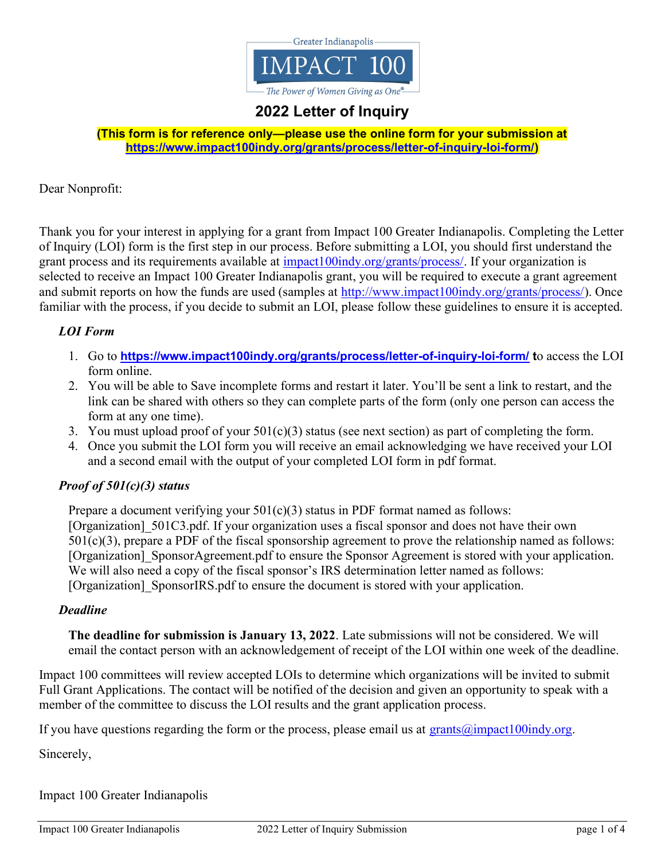

# 2022 Letter of Inquiry

(This form is for reference only—please use the online form for your submission at https://www.impact100indy.org/grants/process/letter-of-inquiry-loi-form/)

Dear Nonprofit:

Thank you for your interest in applying for a grant from Impact 100 Greater Indianapolis. Completing the Letter of Inquiry (LOI) form is the first step in our process. Before submitting a LOI, you should first understand the grant process and its requirements available at  $\frac{impact100indy.org/grams/process/}{$ . If your organization is selected to receive an Impact 100 Greater Indianapolis grant, you will be required to execute a grant agreement and submit reports on how the funds are used (samples at http://www.impact100indy.org/grants/process/). Once familiar with the process, if you decide to submit an LOI, please follow these guidelines to ensure it is accepted.

#### LOI Form

- 1. Go to https://www.impact100indy.org/grants/process/letter-of-inquiry-loi-form/ to access the LOI form online.
- 2. You will be able to Save incomplete forms and restart it later. You'll be sent a link to restart, and the link can be shared with others so they can complete parts of the form (only one person can access the form at any one time).
- 3. You must upload proof of your  $501(c)(3)$  status (see next section) as part of completing the form.
- 4. Once you submit the LOI form you will receive an email acknowledging we have received your LOI and a second email with the output of your completed LOI form in pdf format.

### Proof of 501(c)(3) status

Prepare a document verifying your  $501(c)(3)$  status in PDF format named as follows: [Organization] 501C3.pdf. If your organization uses a fiscal sponsor and does not have their own  $501(c)(3)$ , prepare a PDF of the fiscal sponsorship agreement to prove the relationship named as follows: [Organization] SponsorAgreement.pdf to ensure the Sponsor Agreement is stored with your application. We will also need a copy of the fiscal sponsor's IRS determination letter named as follows: [Organization] SponsorIRS.pdf to ensure the document is stored with your application.

#### Deadline

The deadline for submission is January 13, 2022. Late submissions will not be considered. We will email the contact person with an acknowledgement of receipt of the LOI within one week of the deadline.

Impact 100 committees will review accepted LOIs to determine which organizations will be invited to submit Full Grant Applications. The contact will be notified of the decision and given an opportunity to speak with a member of the committee to discuss the LOI results and the grant application process.

If you have questions regarding the form or the process, please email us at  $grants@impatch100indy.org$ .

Sincerely,

Impact 100 Greater Indianapolis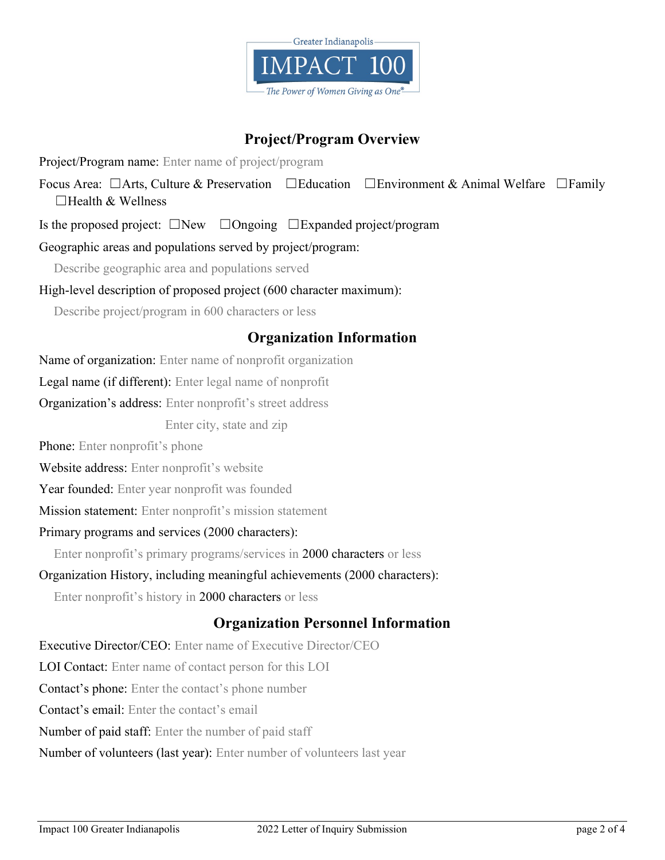

## Project/Program Overview

Project/Program name: Enter name of project/program

Focus Area: □Arts, Culture & Preservation □Education □Environment & Animal Welfare □Family  $\Box$ Health & Wellness

Is the proposed project: ☐New ☐Ongoing ☐Expanded project/program

Geographic areas and populations served by project/program:

Describe geographic area and populations served

High-level description of proposed project (600 character maximum):

Describe project/program in 600 characters or less

## Organization Information

Name of organization: Enter name of nonprofit organization

Legal name (if different): Enter legal name of nonprofit

Organization's address: Enter nonprofit's street address

Enter city, state and zip

Phone: Enter nonprofit's phone

Website address: Enter nonprofit's website

Year founded: Enter year nonprofit was founded

Mission statement: Enter nonprofit's mission statement

### Primary programs and services (2000 characters):

Enter nonprofit's primary programs/services in 2000 characters or less

### Organization History, including meaningful achievements (2000 characters):

Enter nonprofit's history in 2000 characters or less

## Organization Personnel Information

Executive Director/CEO: Enter name of Executive Director/CEO LOI Contact: Enter name of contact person for this LOI Contact's phone: Enter the contact's phone number Contact's email: Enter the contact's email Number of paid staff: Enter the number of paid staff Number of volunteers (last year): Enter number of volunteers last year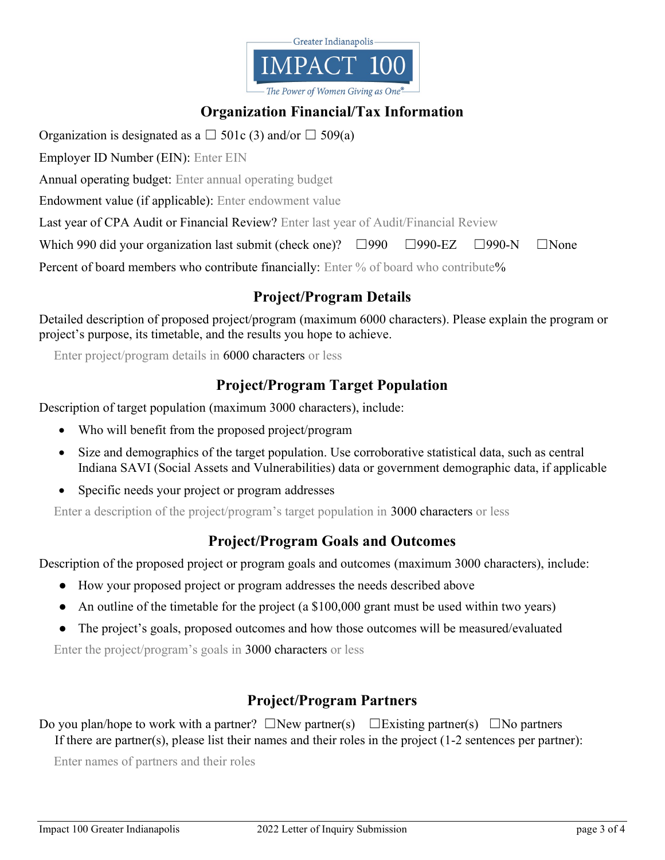

# Organization Financial/Tax Information

Organization is designated as a  $\Box$  501c (3) and/or  $\Box$  509(a)

Employer ID Number (EIN): Enter EIN

Annual operating budget: Enter annual operating budget

Endowment value (if applicable): Enter endowment value

Last year of CPA Audit or Financial Review? Enter last year of Audit/Financial Review

Which 990 did your organization last submit (check one)? □990 □990-EZ □990-N □None

Percent of board members who contribute financially: Enter % of board who contribute%

## Project/Program Details

Detailed description of proposed project/program (maximum 6000 characters). Please explain the program or project's purpose, its timetable, and the results you hope to achieve.

Enter project/program details in 6000 characters or less

## Project/Program Target Population

Description of target population (maximum 3000 characters), include:

- Who will benefit from the proposed project/program
- Size and demographics of the target population. Use corroborative statistical data, such as central Indiana SAVI (Social Assets and Vulnerabilities) data or government demographic data, if applicable
- Specific needs your project or program addresses

Enter a description of the project/program's target population in 3000 characters or less

## Project/Program Goals and Outcomes

Description of the proposed project or program goals and outcomes (maximum 3000 characters), include:

- How your proposed project or program addresses the needs described above
- An outline of the timetable for the project (a \$100,000 grant must be used within two years)
- The project's goals, proposed outcomes and how those outcomes will be measured/evaluated

Enter the project/program's goals in 3000 characters or less

## Project/Program Partners

Do you plan/hope to work with a partner?  $\square$ New partner(s)  $\square$ Existing partner(s)  $\square$ No partners If there are partner(s), please list their names and their roles in the project (1-2 sentences per partner):

Enter names of partners and their roles